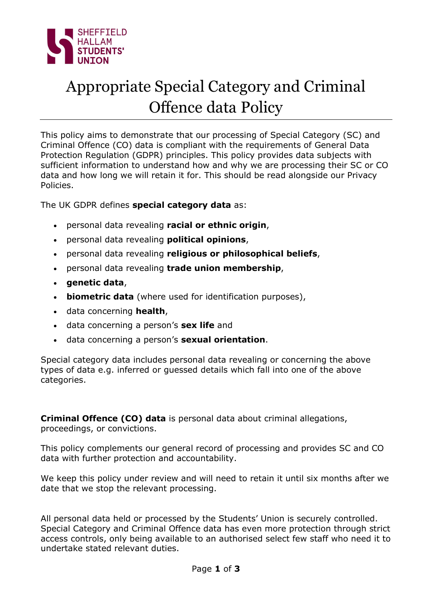

# Appropriate Special Category and Criminal Offence data Policy

This policy aims to demonstrate that our processing of Special Category (SC) and Criminal Offence (CO) data is compliant with the requirements of General Data Protection Regulation (GDPR) principles. This policy provides data subjects with sufficient information to understand how and why we are processing their SC or CO data and how long we will retain it for. This should be read alongside our Privacy Policies.

The UK GDPR defines special category data as:

- personal data revealing racial or ethnic origin,
- personal data revealing **political opinions**,
- personal data revealing religious or philosophical beliefs,
- personal data revealing trade union membership,
- genetic data,
- . biometric data (where used for identification purposes),
- data concerning **health**,
- data concerning a person's sex life and
- . data concerning a person's **sexual orientation**.

Special category data includes personal data revealing or concerning the above types of data e.g. inferred or guessed details which fall into one of the above categories.

Criminal Offence (CO) data is personal data about criminal allegations, proceedings, or convictions.

This policy complements our general record of processing and provides SC and CO data with further protection and accountability.

We keep this policy under review and will need to retain it until six months after we date that we stop the relevant processing.

All personal data held or processed by the Students' Union is securely controlled. Special Category and Criminal Offence data has even more protection through strict access controls, only being available to an authorised select few staff who need it to undertake stated relevant duties.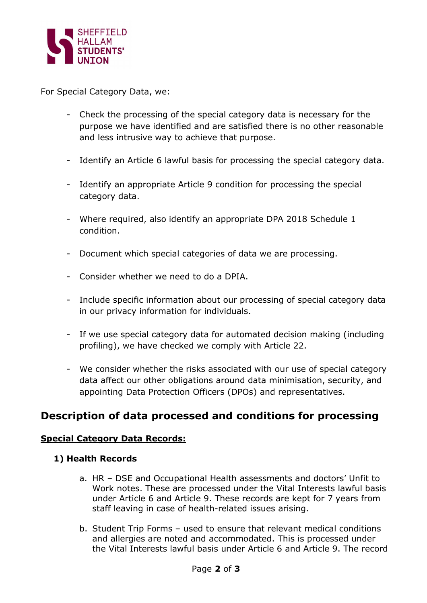

For Special Category Data, we:

- Check the processing of the special category data is necessary for the purpose we have identified and are satisfied there is no other reasonable and less intrusive way to achieve that purpose.
- Identify an Article 6 lawful basis for processing the special category data.
- Identify an appropriate Article 9 condition for processing the special category data.
- Where required, also identify an appropriate DPA 2018 Schedule 1 condition.
- Document which special categories of data we are processing.
- Consider whether we need to do a DPIA.
- Include specific information about our processing of special category data in our privacy information for individuals.
- If we use special category data for automated decision making (including profiling), we have checked we comply with Article 22.
- We consider whether the risks associated with our use of special category data affect our other obligations around data minimisation, security, and appointing Data Protection Officers (DPOs) and representatives.

# Description of data processed and conditions for processing

#### Special Category Data Records:

#### 1) Health Records

- a. HR DSE and Occupational Health assessments and doctors' Unfit to Work notes. These are processed under the Vital Interests lawful basis under Article 6 and Article 9. These records are kept for 7 years from staff leaving in case of health-related issues arising.
- b. Student Trip Forms used to ensure that relevant medical conditions and allergies are noted and accommodated. This is processed under the Vital Interests lawful basis under Article 6 and Article 9. The record